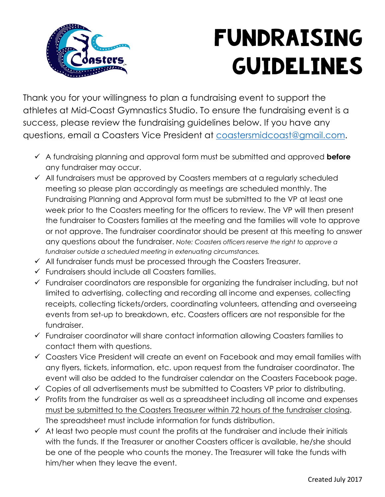

## FUNDRAISING GUIDELINES

Thank you for your willingness to plan a fundraising event to support the athletes at Mid-Coast Gymnastics Studio. To ensure the fundraising event is a success, please review the fundraising guidelines below. If you have any questions, email a Coasters Vice President at coastersmidcoast@gmail.com.

- ü A fundraising planning and approval form must be submitted and approved **before** any fundraiser may occur.
- $\checkmark$  All fundraisers must be approved by Coasters members at a regularly scheduled meeting so please plan accordingly as meetings are scheduled monthly. The Fundraising Planning and Approval form must be submitted to the VP at least one week prior to the Coasters meeting for the officers to review. The VP will then present the fundraiser to Coasters families at the meeting and the families will vote to approve or not approve. The fundraiser coordinator should be present at this meeting to answer any questions about the fundraiser. *Note: Coasters officers reserve the right to approve a fundraiser outside a scheduled meeting in extenuating circumstances.*
- $\checkmark$  All fundraiser funds must be processed through the Coasters Treasurer.
- $\checkmark$  Fundraisers should include all Coasters families.
- $\checkmark$  Fundraiser coordinators are responsible for organizing the fundraiser including, but not limited to advertising, collecting and recording all income and expenses, collecting receipts, collecting tickets/orders, coordinating volunteers, attending and overseeing events from set-up to breakdown, etc. Coasters officers are not responsible for the fundraiser.
- $\checkmark$  Fundraiser coordinator will share contact information allowing Coasters families to contact them with questions.
- $\checkmark$  Coasters Vice President will create an event on Facebook and may email families with any flyers, tickets, information, etc. upon request from the fundraiser coordinator. The event will also be added to the fundraiser calendar on the Coasters Facebook page.
- $\checkmark$  Copies of all advertisements must be submitted to Coasters VP prior to distributing.
- $\checkmark$  Profits from the fundraiser as well as a spreadsheet including all income and expenses must be submitted to the Coasters Treasurer within 72 hours of the fundraiser closing. The spreadsheet must include information for funds distribution.
- $\checkmark$  At least two people must count the profits at the fundraiser and include their initials with the funds. If the Treasurer or another Coasters officer is available, he/she should be one of the people who counts the money. The Treasurer will take the funds with him/her when they leave the event.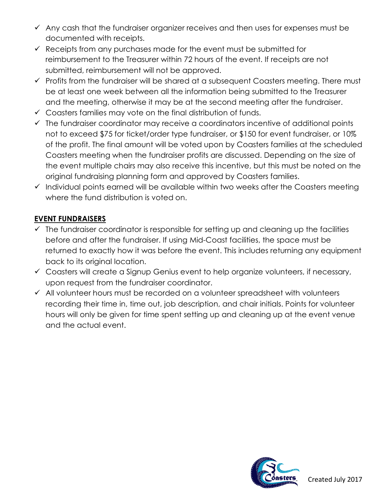- $\checkmark$  Any cash that the fundraiser organizer receives and then uses for expenses must be documented with receipts.
- $\checkmark$  Receipts from any purchases made for the event must be submitted for reimbursement to the Treasurer within 72 hours of the event. If receipts are not submitted, reimbursement will not be approved.
- $\checkmark$  Profits from the fundraiser will be shared at a subsequent Coasters meeting. There must be at least one week between all the information being submitted to the Treasurer and the meeting, otherwise it may be at the second meeting after the fundraiser.
- $\checkmark$  Coasters families may vote on the final distribution of funds.
- $\checkmark$  The fundraiser coordinator may receive a coordinators incentive of additional points not to exceed \$75 for ticket/order type fundraiser, or \$150 for event fundraiser, or 10% of the profit. The final amount will be voted upon by Coasters families at the scheduled Coasters meeting when the fundraiser profits are discussed. Depending on the size of the event multiple chairs may also receive this incentive, but this must be noted on the original fundraising planning form and approved by Coasters families.
- $\checkmark$  Individual points earned will be available within two weeks after the Coasters meeting where the fund distribution is voted on.

#### **EVENT FUNDRAISERS**

- $\checkmark$  The fundraiser coordinator is responsible for setting up and cleaning up the facilities before and after the fundraiser. If using Mid-Coast facilities, the space must be returned to exactly how it was before the event. This includes returning any equipment back to its original location.
- $\checkmark$  Coasters will create a Signup Genius event to help organize volunteers, if necessary, upon request from the fundraiser coordinator.
- $\checkmark$  All volunteer hours must be recorded on a volunteer spreadsheet with volunteers recording their time in, time out, job description, and chair initials. Points for volunteer hours will only be given for time spent setting up and cleaning up at the event venue and the actual event.

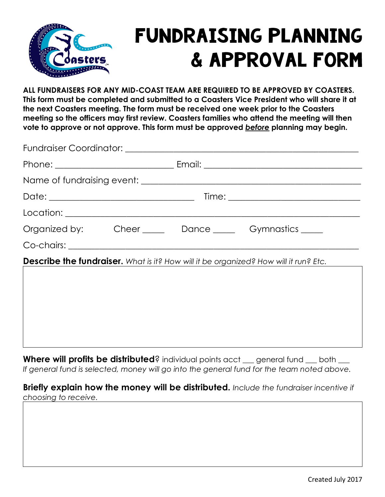

### FUNDRAISING PLANNING & APPROVAL FORM

**ALL FUNDRAISERS FOR ANY MID-COAST TEAM ARE REQUIRED TO BE APPROVED BY COASTERS. This form must be completed and submitted to a Coasters Vice President who will share it at the next Coasters meeting. The form must be received one week prior to the Coasters meeting so the officers may first review. Coasters families who attend the meeting will then vote to approve or not approve. This form must be approved** *before* **planning may begin.**

|                                                                                      |  |  | Organized by: Cheer Dance Commastics Commastics |  |  |  |
|--------------------------------------------------------------------------------------|--|--|-------------------------------------------------|--|--|--|
|                                                                                      |  |  |                                                 |  |  |  |
| Describe the fundraiser. What is it? How will it be organized? How will it run? Etc. |  |  |                                                 |  |  |  |
|                                                                                      |  |  |                                                 |  |  |  |
|                                                                                      |  |  |                                                 |  |  |  |
|                                                                                      |  |  |                                                 |  |  |  |

Where will profits be distributed? individual points acct \_\_ general fund \_\_ both \_\_ *If general fund is selected, money will go into the general fund for the team noted above.*

**Briefly explain how the money will be distributed.** *Include the fundraiser incentive if choosing to receive.*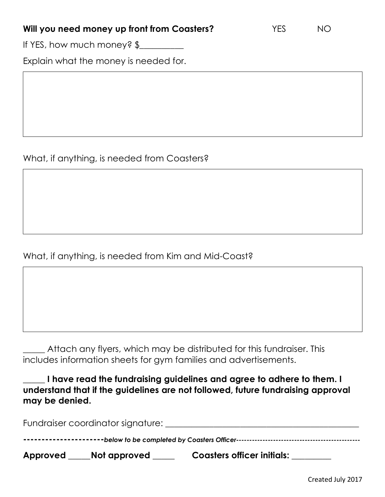#### **Will you need money up front from Coasters?** YES NO

If YES, how much money? \$

Explain what the money is needed for.

#### What, if anything, is needed from Coasters?

#### What, if anything, is needed from Kim and Mid-Coast?

\_\_\_\_\_ Attach any flyers, which may be distributed for this fundraiser. This includes information sheets for gym families and advertisements.

**\_\_\_\_\_ I have read the fundraising guidelines and agree to adhere to them. I understand that if the guidelines are not followed, future fundraising approval may be denied.**

| Approved | Not approved | Coasters officer initials: |  |
|----------|--------------|----------------------------|--|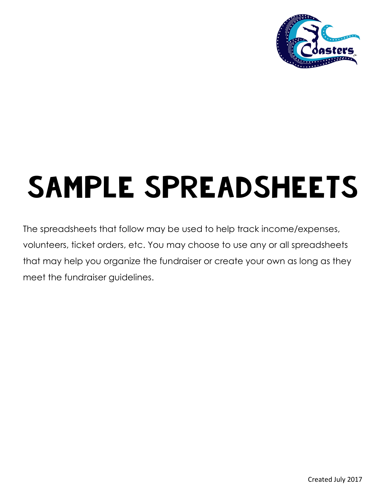

# SAMPLE SPREADSHEETS

The spreadsheets that follow may be used to help track income/expenses, volunteers, ticket orders, etc. You may choose to use any or all spreadsheets that may help you organize the fundraiser or create your own as long as they meet the fundraiser guidelines.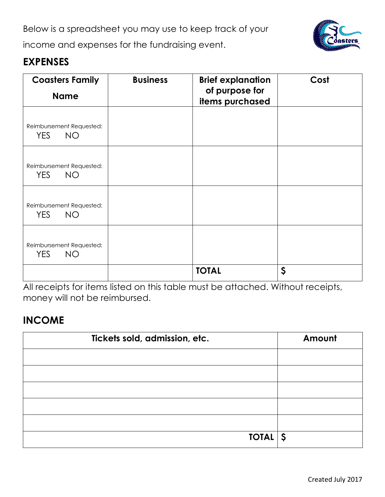Below is a spreadsheet you may use to keep track of your



income and expenses for the fundraising event.

#### **EXPENSES**

| <b>Coasters Family</b><br><b>Name</b>               | <b>Business</b> | <b>Brief explanation</b><br>of purpose for<br>items purchased | Cost |
|-----------------------------------------------------|-----------------|---------------------------------------------------------------|------|
| Reimbursement Requested:<br>YES.<br><b>NO</b>       |                 |                                                               |      |
| Reimbursement Requested:<br><b>YES</b><br><b>NO</b> |                 |                                                               |      |
| Reimbursement Requested:<br><b>YES</b><br><b>NO</b> |                 |                                                               |      |
| Reimbursement Requested:<br><b>YES</b><br><b>NO</b> |                 |                                                               |      |
|                                                     |                 | <b>TOTAL</b>                                                  | \$   |

All receipts for items listed on this table must be attached. Without receipts, money will not be reimbursed.

#### **INCOME**

| Tickets sold, admission, etc. | Amount |
|-------------------------------|--------|
|                               |        |
|                               |        |
|                               |        |
|                               |        |
|                               |        |
| TOIAL                         |        |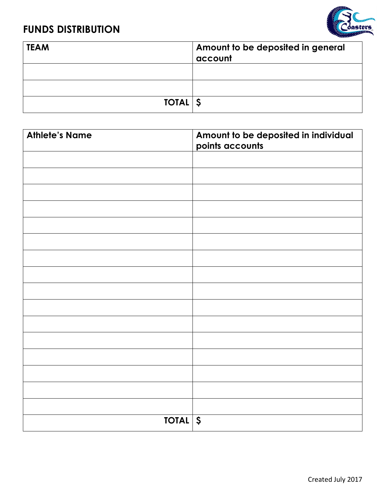#### **FUNDS DISTRIBUTION**



| <b>TEAM</b> | Amount to be deposited in general<br>account |
|-------------|----------------------------------------------|
|             |                                              |
|             |                                              |
| TOIAL       |                                              |

| <b>Athlete's Name</b> | Amount to be deposited in individual<br>points accounts |
|-----------------------|---------------------------------------------------------|
|                       |                                                         |
|                       |                                                         |
|                       |                                                         |
|                       |                                                         |
|                       |                                                         |
|                       |                                                         |
|                       |                                                         |
|                       |                                                         |
|                       |                                                         |
|                       |                                                         |
|                       |                                                         |
|                       |                                                         |
|                       |                                                         |
|                       |                                                         |
|                       |                                                         |
|                       |                                                         |
| TOIAL                 |                                                         |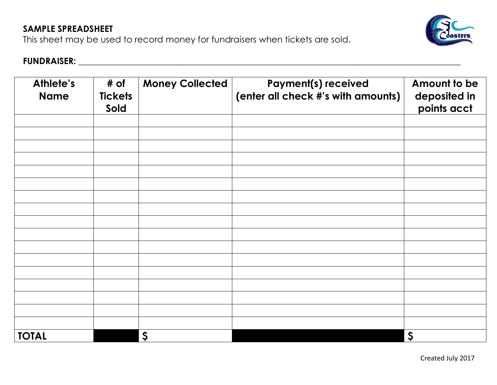#### **SAMPLE SPREADSHEET**

This sheet may be used to record money for fundraisers when tickets are sold.



#### **FUNDRAISER: \_\_\_\_\_\_\_\_\_\_\_\_\_\_\_\_\_\_\_\_\_\_\_\_\_\_\_\_\_\_\_\_\_\_\_\_\_\_\_\_\_\_\_\_\_\_\_\_\_\_\_\_\_\_\_\_\_\_\_\_\_\_\_\_\_\_\_\_\_\_\_\_\_\_\_\_\_\_\_\_\_\_\_\_\_\_\_**

| Athlete's<br><b>Name</b> | # of<br><b>Tickets</b><br>Sold | <b>Money Collected</b> | <b>Payment(s) received</b><br>(enter all check #'s with amounts) | Amount to be<br>deposited in<br>points acct |
|--------------------------|--------------------------------|------------------------|------------------------------------------------------------------|---------------------------------------------|
|                          |                                |                        |                                                                  |                                             |
|                          |                                |                        |                                                                  |                                             |
|                          |                                |                        |                                                                  |                                             |
|                          |                                |                        |                                                                  |                                             |
|                          |                                |                        |                                                                  |                                             |
|                          |                                |                        |                                                                  |                                             |
|                          |                                |                        |                                                                  |                                             |
|                          |                                |                        |                                                                  |                                             |
|                          |                                |                        |                                                                  |                                             |
|                          |                                |                        |                                                                  |                                             |
|                          |                                |                        |                                                                  |                                             |
|                          |                                |                        |                                                                  |                                             |
|                          |                                |                        |                                                                  |                                             |
|                          |                                |                        |                                                                  |                                             |
|                          |                                |                        |                                                                  |                                             |
|                          |                                |                        |                                                                  |                                             |
|                          |                                |                        |                                                                  |                                             |
| <b>TOTAL</b>             |                                | $\boldsymbol{\zeta}$   |                                                                  | $\boldsymbol{\zeta}$                        |